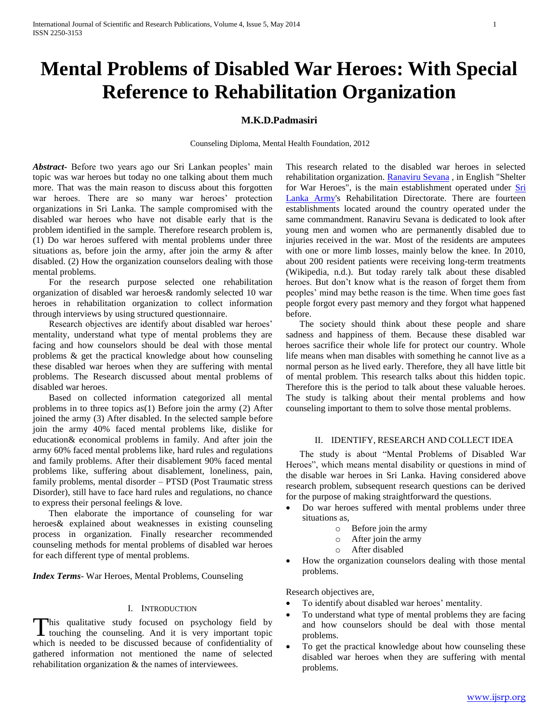# **Mental Problems of Disabled War Heroes: With Special Reference to Rehabilitation Organization**

## **M.K.D.Padmasiri**

Counseling Diploma, Mental Health Foundation, 2012

*Abstract***-** Before two years ago our Sri Lankan peoples' main topic was war heroes but today no one talking about them much more. That was the main reason to discuss about this forgotten war heroes. There are so many war heroes' protection organizations in Sri Lanka. The sample compromised with the disabled war heroes who have not disable early that is the problem identified in the sample. Therefore research problem is, (1) Do war heroes suffered with mental problems under three situations as, before join the army, after join the army & after disabled. (2) How the organization counselors dealing with those mental problems.

 For the research purpose selected one rehabilitation organization of disabled war heroes& randomly selected 10 war heroes in rehabilitation organization to collect information through interviews by using structured questionnaire.

 Research objectives are identify about disabled war heroes' mentality, understand what type of mental problems they are facing and how counselors should be deal with those mental problems & get the practical knowledge about how counseling these disabled war heroes when they are suffering with mental problems. The Research discussed about mental problems of disabled war heroes.

 Based on collected information categorized all mental problems in to three topics as(1) Before join the army (2) After joined the army (3) After disabled. In the selected sample before join the army 40% faced mental problems like, dislike for education& economical problems in family. And after join the army 60% faced mental problems like, hard rules and regulations and family problems. After their disablement 90% faced mental problems like, suffering about disablement, loneliness, pain, family problems, mental disorder – PTSD (Post Traumatic stress Disorder), still have to face hard rules and regulations, no chance to express their personal feelings & love.

 Then elaborate the importance of counseling for war heroes& explained about weaknesses in existing counseling process in organization. Finally researcher recommended counseling methods for mental problems of disabled war heroes for each different type of mental problems.

*Index Terms*- War Heroes, Mental Problems, Counseling

## I. INTRODUCTION

his qualitative study focused on psychology field by This qualitative study focused on psychology field by touching the counseling. And it is very important topic which is needed to be discussed because of confidentiality of gathered information not mentioned the name of selected rehabilitation organization & the names of interviewees.

This research related to the disabled war heroes in selected rehabilitation organization. [Ranaviru Sevana](http://en.wikipedia.org/w/index.php?title=Ranaviru_Sevana&action=edit&redlink=1) , in English "Shelter for War Heroes", is the main establishment operated under [Sri](http://en.wikipedia.org/wiki/Sri_Lanka_Army)  [Lanka Army's](http://en.wikipedia.org/wiki/Sri_Lanka_Army) Rehabilitation Directorate. There are fourteen establishments located around the country operated under the same commandment. Ranaviru Sevana is dedicated to look after young men and women who are permanently disabled due to injuries received in the war. Most of the residents are amputees with one or more limb losses, mainly below the knee. In 2010, about 200 resident patients were receiving long-term treatments (Wikipedia, n.d.). But today rarely talk about these disabled heroes. But don't know what is the reason of forget them from peoples' mind may bethe reason is the time. When time goes fast people forgot every past memory and they forgot what happened before.

 The society should think about these people and share sadness and happiness of them. Because these disabled war heroes sacrifice their whole life for protect our country. Whole life means when man disables with something he cannot live as a normal person as he lived early. Therefore, they all have little bit of mental problem. This research talks about this hidden topic. Therefore this is the period to talk about these valuable heroes. The study is talking about their mental problems and how counseling important to them to solve those mental problems.

#### II. IDENTIFY, RESEARCH AND COLLECT IDEA

 The study is about "Mental Problems of Disabled War Heroes", which means mental disability or questions in mind of the disable war heroes in Sri Lanka. Having considered above research problem, subsequent research questions can be derived for the purpose of making straightforward the questions.

- Do war heroes suffered with mental problems under three situations as,
	- o Before join the army
	- o After join the army
	- o After disabled
- How the organization counselors dealing with those mental problems.

Research objectives are,

- To identify about disabled war heroes' mentality.
- To understand what type of mental problems they are facing and how counselors should be deal with those mental problems.
- To get the practical knowledge about how counseling these disabled war heroes when they are suffering with mental problems.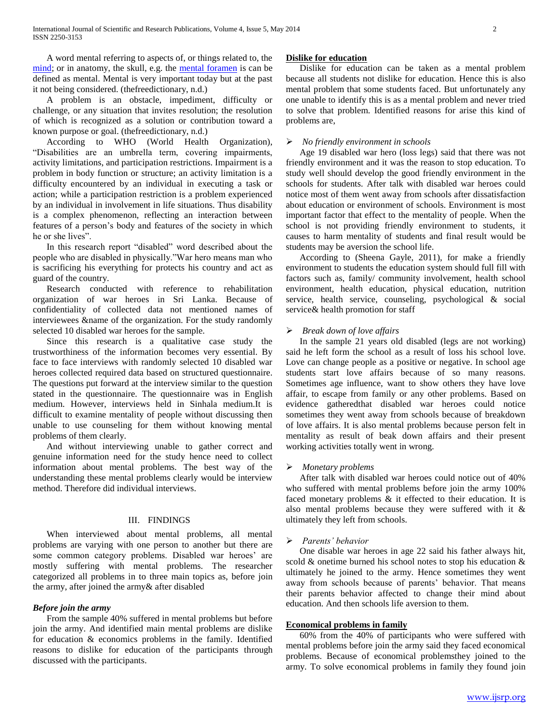A word mental referring to aspects of, or things related to, the [mind;](http://en.wikipedia.org/wiki/Mind) or in anatomy, the skull, e.g. the [mental foramen](http://en.wikipedia.org/wiki/Mental_foramen) is can be defined as mental. Mental is very important today but at the past it not being considered. (thefreedictionary, n.d.)

 A problem is an obstacle, impediment, difficulty or challenge, or any situation that invites resolution; the resolution of which is recognized as a solution or contribution toward a known purpose or goal. (thefreedictionary, n.d.)

 According to WHO (World Health Organization), "Disabilities are an umbrella term, covering impairments, activity limitations, and participation restrictions. Impairment is a problem in body function or structure; an activity limitation is a difficulty encountered by an individual in executing a task or action; while a participation restriction is a problem experienced by an individual in involvement in life situations. Thus disability is a complex phenomenon, reflecting an interaction between features of a person's body and features of the society in which he or she lives".

 In this research report "disabled" word described about the people who are disabled in physically."War hero means man who is sacrificing his everything for protects his country and act as guard of the country.

 Research conducted with reference to rehabilitation organization of war heroes in Sri Lanka. Because of confidentiality of collected data not mentioned names of interviewees &name of the organization. For the study randomly selected 10 disabled war heroes for the sample.

 Since this research is a qualitative case study the trustworthiness of the information becomes very essential. By face to face interviews with randomly selected 10 disabled war heroes collected required data based on structured questionnaire. The questions put forward at the interview similar to the question stated in the questionnaire. The questionnaire was in English medium. However, interviews held in Sinhala medium.It is difficult to examine mentality of people without discussing then unable to use counseling for them without knowing mental problems of them clearly.

 And without interviewing unable to gather correct and genuine information need for the study hence need to collect information about mental problems. The best way of the understanding these mental problems clearly would be interview method. Therefore did individual interviews.

#### III. FINDINGS

 When interviewed about mental problems, all mental problems are varying with one person to another but there are some common category problems. Disabled war heroes' are mostly suffering with mental problems. The researcher categorized all problems in to three main topics as, before join the army, after joined the army& after disabled

## *Before join the army*

 From the sample 40% suffered in mental problems but before join the army. And identified main mental problems are dislike for education & economics problems in the family. Identified reasons to dislike for education of the participants through discussed with the participants.

#### **Dislike for education**

 Dislike for education can be taken as a mental problem because all students not dislike for education. Hence this is also mental problem that some students faced. But unfortunately any one unable to identify this is as a mental problem and never tried to solve that problem. Identified reasons for arise this kind of problems are,

#### *No friendly environment in schools*

 Age 19 disabled war hero (loss legs) said that there was not friendly environment and it was the reason to stop education. To study well should develop the good friendly environment in the schools for students. After talk with disabled war heroes could notice most of them went away from schools after dissatisfaction about education or environment of schools. Environment is most important factor that effect to the mentality of people. When the school is not providing friendly environment to students, it causes to harm mentality of students and final result would be students may be aversion the school life.

 According to (Sheena Gayle, 2011), for make a friendly environment to students the education system should full fill with factors such as, family/ community involvement, health school environment, health education, physical education, nutrition service, health service, counseling, psychological & social service& health promotion for staff

## *Break down of love affairs*

 In the sample 21 years old disabled (legs are not working) said he left form the school as a result of loss his school love. Love can change people as a positive or negative. In school age students start love affairs because of so many reasons. Sometimes age influence, want to show others they have love affair, to escape from family or any other problems. Based on evidence gatheredthat disabled war heroes could notice sometimes they went away from schools because of breakdown of love affairs. It is also mental problems because person felt in mentality as result of beak down affairs and their present working activities totally went in wrong.

#### *Monetary problems*

 After talk with disabled war heroes could notice out of 40% who suffered with mental problems before join the army 100% faced monetary problems & it effected to their education. It is also mental problems because they were suffered with it & ultimately they left from schools.

#### *Parents' behavior*

 One disable war heroes in age 22 said his father always hit, scold & onetime burned his school notes to stop his education & ultimately he joined to the army. Hence sometimes they went away from schools because of parents' behavior. That means their parents behavior affected to change their mind about education. And then schools life aversion to them.

## **Economical problems in family**

 60% from the 40% of participants who were suffered with mental problems before join the army said they faced economical problems. Because of economical problemsthey joined to the army. To solve economical problems in family they found join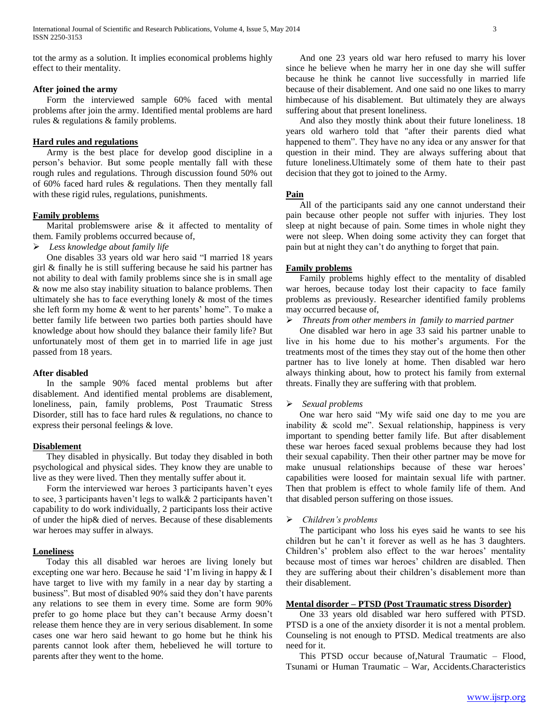tot the army as a solution. It implies economical problems highly effect to their mentality.

## **After joined the army**

 Form the interviewed sample 60% faced with mental problems after join the army. Identified mental problems are hard rules & regulations & family problems.

## **Hard rules and regulations**

 Army is the best place for develop good discipline in a person's behavior. But some people mentally fall with these rough rules and regulations. Through discussion found 50% out of 60% faced hard rules & regulations. Then they mentally fall with these rigid rules, regulations, punishments.

## **Family problems**

 Marital problemswere arise & it affected to mentality of them. Family problems occurred because of,

*Less knowledge about family life*

 One disables 33 years old war hero said "I married 18 years girl & finally he is still suffering because he said his partner has not ability to deal with family problems since she is in small age & now me also stay inability situation to balance problems. Then ultimately she has to face everything lonely & most of the times she left form my home & went to her parents' home". To make a better family life between two parties both parties should have knowledge about how should they balance their family life? But unfortunately most of them get in to married life in age just passed from 18 years.

#### **After disabled**

 In the sample 90% faced mental problems but after disablement. And identified mental problems are disablement, loneliness, pain, family problems, Post Traumatic Stress Disorder, still has to face hard rules & regulations, no chance to express their personal feelings & love.

## **Disablement**

 They disabled in physically. But today they disabled in both psychological and physical sides. They know they are unable to live as they were lived. Then they mentally suffer about it.

 Form the interviewed war heroes 3 participants haven't eyes to see, 3 participants haven't legs to walk& 2 participants haven't capability to do work individually, 2 participants loss their active of under the hip& died of nerves. Because of these disablements war heroes may suffer in always.

## **Loneliness**

 Today this all disabled war heroes are living lonely but excepting one war hero. Because he said 'I'm living in happy & I have target to live with my family in a near day by starting a business". But most of disabled 90% said they don't have parents any relations to see them in every time. Some are form 90% prefer to go home place but they can't because Army doesn't release them hence they are in very serious disablement. In some cases one war hero said hewant to go home but he think his parents cannot look after them, hebelieved he will torture to parents after they went to the home.

 And one 23 years old war hero refused to marry his lover since he believe when he marry her in one day she will suffer because he think he cannot live successfully in married life because of their disablement. And one said no one likes to marry himbecause of his disablement. But ultimately they are always suffering about that present loneliness.

 And also they mostly think about their future loneliness. 18 years old warhero told that "after their parents died what happened to them". They have no any idea or any answer for that question in their mind. They are always suffering about that future loneliness.Ultimately some of them hate to their past decision that they got to joined to the Army.

## **Pain**

 All of the participants said any one cannot understand their pain because other people not suffer with injuries. They lost sleep at night because of pain. Some times in whole night they were not sleep. When doing some activity they can forget that pain but at night they can't do anything to forget that pain.

## **Family problems**

 Family problems highly effect to the mentality of disabled war heroes, because today lost their capacity to face family problems as previously. Researcher identified family problems may occurred because of,

*Threats from other members in family to married partner*

 One disabled war hero in age 33 said his partner unable to live in his home due to his mother's arguments. For the treatments most of the times they stay out of the home then other partner has to live lonely at home. Then disabled war hero always thinking about, how to protect his family from external threats. Finally they are suffering with that problem.

## *Sexual problems*

 One war hero said "My wife said one day to me you are inability & scold me". Sexual relationship, happiness is very important to spending better family life. But after disablement these war heroes faced sexual problems because they had lost their sexual capability. Then their other partner may be move for make unusual relationships because of these war heroes' capabilities were loosed for maintain sexual life with partner. Then that problem is effect to whole family life of them. And that disabled person suffering on those issues.

## *Children's problems*

 The participant who loss his eyes said he wants to see his children but he can't it forever as well as he has 3 daughters. Children's' problem also effect to the war heroes' mentality because most of times war heroes' children are disabled. Then they are suffering about their children's disablement more than their disablement.

## **Mental disorder – PTSD (Post Traumatic stress Disorder)**

 One 33 years old disabled war hero suffered with PTSD. PTSD is a one of the anxiety disorder it is not a mental problem. Counseling is not enough to PTSD. Medical treatments are also need for it.

 This PTSD occur because of,Natural Traumatic – Flood, Tsunami or Human Traumatic – War, Accidents.Characteristics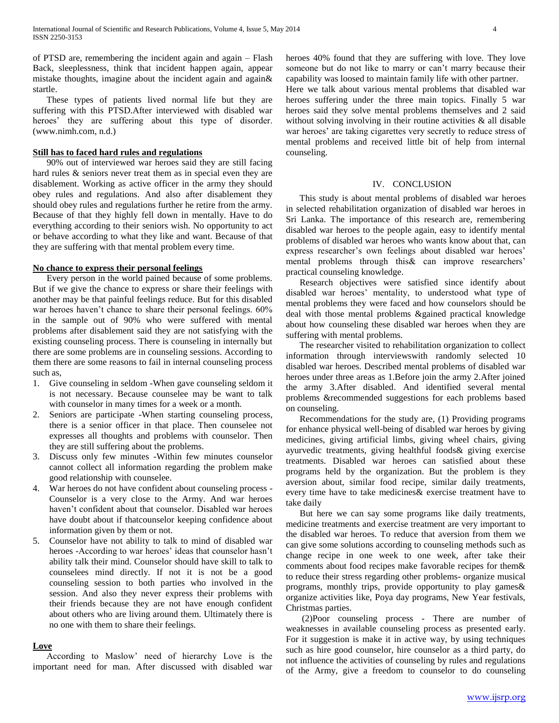of PTSD are, remembering the incident again and again – Flash Back, sleeplessness, think that incident happen again, appear mistake thoughts, imagine about the incident again and again& startle.

 These types of patients lived normal life but they are suffering with this PTSD.After interviewed with disabled war heroes' they are suffering about this type of disorder. (www.nimh.com, n.d.)

## **Still has to faced hard rules and regulations**

 90% out of interviewed war heroes said they are still facing hard rules & seniors never treat them as in special even they are disablement. Working as active officer in the army they should obey rules and regulations. And also after disablement they should obey rules and regulations further he retire from the army. Because of that they highly fell down in mentally. Have to do everything according to their seniors wish. No opportunity to act or behave according to what they like and want. Because of that they are suffering with that mental problem every time.

#### **No chance to express their personal feelings**

 Every person in the world pained because of some problems. But if we give the chance to express or share their feelings with another may be that painful feelings reduce. But for this disabled war heroes haven't chance to share their personal feelings. 60% in the sample out of 90% who were suffered with mental problems after disablement said they are not satisfying with the existing counseling process. There is counseling in internally but there are some problems are in counseling sessions. According to them there are some reasons to fail in internal counseling process such as,

- 1. Give counseling in seldom -When gave counseling seldom it is not necessary. Because counselee may be want to talk with counselor in many times for a week or a month.
- 2. Seniors are participate -When starting counseling process, there is a senior officer in that place. Then counselee not expresses all thoughts and problems with counselor. Then they are still suffering about the problems.
- 3. Discuss only few minutes -Within few minutes counselor cannot collect all information regarding the problem make good relationship with counselee.
- 4. War heroes do not have confident about counseling process Counselor is a very close to the Army. And war heroes haven't confident about that counselor. Disabled war heroes have doubt about if thatcounselor keeping confidence about information given by them or not.
- 5. Counselor have not ability to talk to mind of disabled war heroes -According to war heroes' ideas that counselor hasn't ability talk their mind. Counselor should have skill to talk to counselees mind directly. If not it is not be a good counseling session to both parties who involved in the session. And also they never express their problems with their friends because they are not have enough confident about others who are living around them. Ultimately there is no one with them to share their feelings.

## **Love**

 According to Maslow' need of hierarchy Love is the important need for man. After discussed with disabled war

heroes 40% found that they are suffering with love. They love someone but do not like to marry or can't marry because their capability was loosed to maintain family life with other partner. Here we talk about various mental problems that disabled war heroes suffering under the three main topics. Finally 5 war

heroes said they solve mental problems themselves and 2 said without solving involving in their routine activities  $\&$  all disable war heroes' are taking cigarettes very secretly to reduce stress of mental problems and received little bit of help from internal counseling.

#### IV. CONCLUSION

 This study is about mental problems of disabled war heroes in selected rehabilitation organization of disabled war heroes in Sri Lanka. The importance of this research are, remembering disabled war heroes to the people again, easy to identify mental problems of disabled war heroes who wants know about that, can express researcher's own feelings about disabled war heroes' mental problems through this& can improve researchers' practical counseling knowledge.

 Research objectives were satisfied since identify about disabled war heroes' mentality, to understood what type of mental problems they were faced and how counselors should be deal with those mental problems &gained practical knowledge about how counseling these disabled war heroes when they are suffering with mental problems.

 The researcher visited to rehabilitation organization to collect information through interviewswith randomly selected 10 disabled war heroes. Described mental problems of disabled war heroes under three areas as 1.Before join the army 2.After joined the army 3.After disabled. And identified several mental problems &recommended suggestions for each problems based on counseling.

 Recommendations for the study are, (1) Providing programs for enhance physical well-being of disabled war heroes by giving medicines, giving artificial limbs, giving wheel chairs, giving ayurvedic treatments, giving healthful foods& giving exercise treatments. Disabled war heroes can satisfied about these programs held by the organization. But the problem is they aversion about, similar food recipe, similar daily treatments, every time have to take medicines& exercise treatment have to take daily

 But here we can say some programs like daily treatments, medicine treatments and exercise treatment are very important to the disabled war heroes. To reduce that aversion from them we can give some solutions according to counseling methods such as change recipe in one week to one week, after take their comments about food recipes make favorable recipes for them& to reduce their stress regarding other problems- organize musical programs, monthly trips, provide opportunity to play games& organize activities like, Poya day programs, New Year festivals, Christmas parties.

 (2)Poor counseling process - There are number of weaknesses in available counseling process as presented early. For it suggestion is make it in active way, by using techniques such as hire good counselor, hire counselor as a third party, do not influence the activities of counseling by rules and regulations of the Army, give a freedom to counselor to do counseling